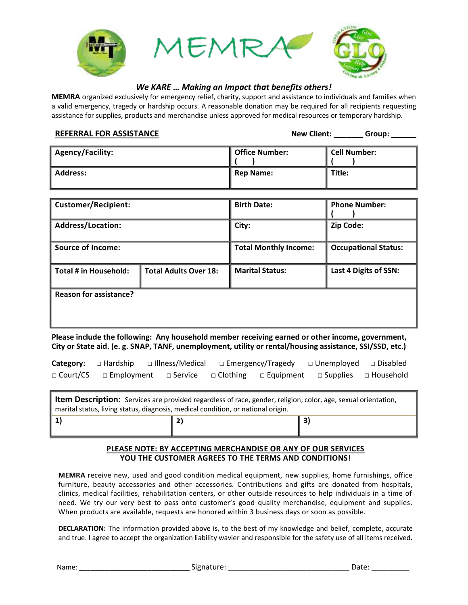

# *We KARE … Making an Impact that benefits others!*

**MEMRA** organized exclusively for emergency relief, charity, support and assistance to individuals and families when a valid emergency, tragedy or hardship occurs. A reasonable donation may be required for all recipients requesting assistance for supplies, products and merchandise unless approved for medical resources or temporary hardship.

**REFERRAL FOR ASSISTANCE**<br> **REFERRAL FOR ASSISTANCE** 

| <b>Agency/Facility:</b> | Office Number: | Cell Number: |
|-------------------------|----------------|--------------|
| <b>Address:</b>         | l Rep Name:    | Title:       |

| Customer/Recipient:    |                              | <b>Birth Date:</b>           | <b>Phone Number:</b>        |  |
|------------------------|------------------------------|------------------------------|-----------------------------|--|
| Address/Location:      |                              | City:                        | Zip Code:                   |  |
| Source of Income: I    |                              | <b>Total Monthly Income:</b> | <b>Occupational Status:</b> |  |
| Total # in Household:  | <b>Total Adults Over 18:</b> | <b>Marital Status:</b>       | Last 4 Digits of SSN:       |  |
| Reason for assistance? |                              |                              |                             |  |

**Please include the following: Any household member receiving earned or other income, government, City or State aid. (e. g. SNAP, TANF, unemployment, utility or rental/housing assistance, SSI/SSD, etc.)** 

|  | <b>Category:</b> $\Box$ Hardship $\Box$ Illness/Medical $\Box$ Emergency/Tragedy $\Box$ Unemployed $\Box$ Disabled |  |  |
|--|--------------------------------------------------------------------------------------------------------------------|--|--|
|  | $\Box$ Court/CS $\Box$ Employment $\Box$ Service $\Box$ Clothing $\Box$ Equipment $\Box$ Supplies $\Box$ Household |  |  |

**Item Description:** Services are provided regardless of race, gender, religion, color, age, sexual orientation, marital status, living status, diagnosis, medical condition, or national origin. 

# **1) 2) 3)**

## **PLEASE NOTE: BY ACCEPTING MERCHANDISE OR ANY OF OUR SERVICES YOU THE CUSTOMER AGREES TO THE TERMS AND CONDITIONS!**

**MEMRA** receive new, used and good condition medical equipment, new supplies, home furnishings, office furniture, beauty accessories and other accessories. Contributions and gifts are donated from hospitals, clinics, medical facilities, rehabilitation centers, or other outside resources to help individuals in a time of need. We try our very best to pass onto customer's good quality merchandise, equipment and supplies. When products are available, requests are honored within 3 business days or soon as possible.

**DECLARATION:** The information provided above is, to the best of my knowledge and belief, complete, accurate and true. I agree to accept the organization liability wavier and responsible for the safety use of all items received.